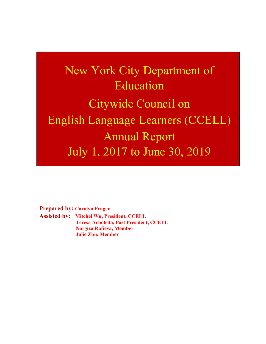New York City Department of Education Citywide Council on English Language Learners (CCELL) Annual Report July 1, 2017 to June 30, 2019

**Prepared by: Carolyn Prager Assisted by: Mitchel Wu, President, CCELL Teresa Arboleda, Past President, CCELL Nargiza Rafieva, Member Julie Zhu, Member**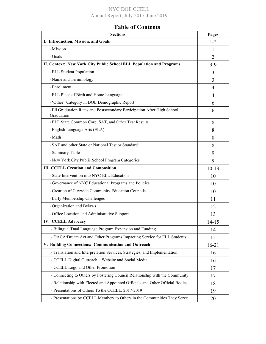# **Table of Contents**

| <b>Sections</b>                                                                        | Pages          |
|----------------------------------------------------------------------------------------|----------------|
| I. Introduction, Mission, and Goals                                                    | $1 - 2$        |
| · Mission                                                                              | 1              |
| $\cdot$ Goals                                                                          | $\overline{2}$ |
| II. Context: New York City Public School ELL Population and Programs                   | $3-9$          |
| · ELL Student Population                                                               | 3              |
| · Name and Terminology                                                                 | 3              |
| · Enrollment                                                                           | $\overline{4}$ |
| · ELL Place of Birth and Home Language                                                 | $\overline{4}$ |
| · 'Other" Category in DOE Demographic Report                                           | 6              |
| · Ell Graduation Rates and Postsecondary Participation After High School<br>Graduation | 6              |
| · ELL State Common Core, SAT, and Other Test Results                                   | 8              |
| · English Language Arts (ELA)                                                          | 8              |
| $\cdot$ Math                                                                           | 8              |
| · SAT and other State or National Test or Standard                                     | 8              |
| · Summary Table                                                                        | 9              |
| · New York City Public School Program Categories                                       | 9              |
| <b>III. CCELL Creation and Composition</b>                                             | $10-13$        |
| · State Intervention into NYC ELL Education                                            | 10             |
| · Governance of NYC Educational Programs and Policies                                  | 10             |
| · Creation of Citywide Community Education Councils                                    | 10             |
| · Early Membership Challenges                                                          | 11             |
| · Organization and Bylaws                                                              | 12             |
| · Office Location and Administrative Support                                           | 13             |
| <b>IV. CCELL Advocacy</b>                                                              | $14 - 15$      |
| Bilingual/Dual Language Program Expansion and Funding                                  | 14             |
| · DACA/Dream Act and Other Programs Impacting Service for ELL Students                 | 15             |
| V. Building Connections: Communication and Outreach                                    | $16 - 21$      |
| · Translation and Interpretation Services, Strategies, and Implementation              | 16             |
| · CCELL Digital Outreach-Website and Social Media                                      | 16             |
| CCELL Logo and Other Promotion                                                         | 17             |
| · Connecting to Others by Fostering Council Relationship with the Community            | 17             |
| · Relationship with Elected and Appointed Officials and Other Official Bodies          | 18             |
| Presentations of Others To the CCELL, 2017-2019                                        | 19             |
| Presentations by CCELL Members to Others in the Communities They Serve                 | 20             |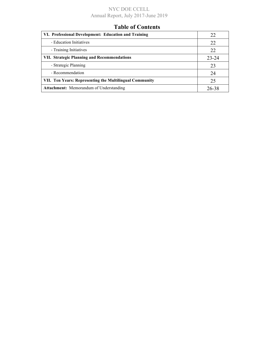# **Table of Contents**

| VI. Professional Development: Education and Training    | 22    |
|---------------------------------------------------------|-------|
| Education Initiatives                                   | 22    |
| · Training Initiatives                                  | 22    |
| VII. Strategic Planning and Recommendations             | 23-24 |
| · Strategic Planning                                    | 23    |
| · Recommendation                                        | 24    |
| VII. Ten Years: Representing the Multilingual Community | 25    |
| <b>Attachment:</b> Memorandum of Understanding          | 26-38 |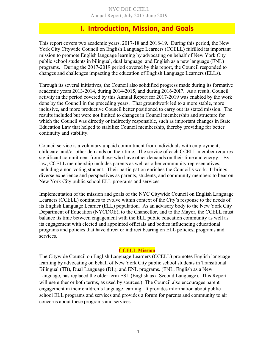# **I. Introduction, Mission, and Goals**

This report covers two academic years, 2017-18 and 2018-19. During this period, the New York City Citywide Council on English Language Learners (CCELL) fulfilled its important mission to promote English language learning by advocating on behalf of New York City public school students in bilingual, dual language, and English as a new language (ENL) programs. During the 2017-2019 period covered by this report, the Council responded to changes and challenges impacting the education of English Language Learners (ELLs).

Through its several initiatives, the Council also solidified progress made during its formative academic years 2013-2014, during 2014-2015, and during 2016-20I7. As a result, Council activity in the period covered by this Annual Report for 2017-2019 was enabled by the work done by the Council in the preceding years. That groundwork led to a more stable, more inclusive, and more productive Council better positioned to carry out its stated mission. The results included but were not limited to changes in Council membership and structure for which the Council was directly or indirectly responsible, such as important changes in State Education Law that helped to stabilize Council membership, thereby providing for better continuity and stability.

Council service is a voluntary unpaid commitment from individuals with employment, childcare, and/or other demands on their time. The service of each CCELL member requires significant commitment from those who have other demands on their time and energy. By law, CCELL membership includes parents as well as other community representatives, including a non-voting student. Their participation enriches the Council's work. It brings diverse experience and perspectives as parents, students, and community members to bear on New York City public school ELL programs and services.

Implementation of the mission and goals of the NYC Citywide Council on English Language Learners (CCELL) continues to evolve within context of the City's response to the needs of its English Language Learner (ELL) population. As an advisory body to the New York City Department of Education (NYCDOE), to the Chancellor, and to the Mayor, the CCELL must balance its time between engagement with the ELL public education community as well as its engagement with elected and appointed officials and bodies influencing educational programs and policies that have direct or indirect bearing on ELL policies, programs and services.

# **CCELL Mission**

The Citywide Council on English Language Learners (CCELL) promotes English language learning by advocating on behalf of New York City public school students in Transitional Bilingual (TB), Dual Language (DL), and ENL programs. (ENL, English as a New Language, has replaced the older term ESL (English as a Second Language). This Report will use either or both terms, as used by sources.) The Council also encourages parent engagement in their children's language learning. It provides information about public school ELL programs and services and provides a forum for parents and community to air concerns about these programs and services.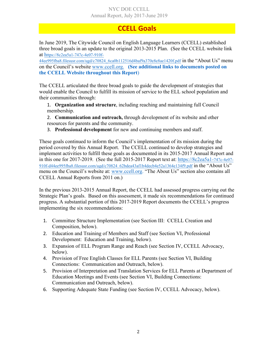# **CCELL Goals**

In June 2019, The Citywide Council on English Language Learners (CCELL) established three broad goals in an update to the original 2013-2015 Plan. (See the CCELL website link at https://8c2ea5a1-747c-4e07-910f-

44ee995fba8.filesusr.com/ugd/c70824\_6ca0b112516d4baf9a370e8e8ae1420f.pdf in the "About Us" menu on the Council's website www.ccell.org. **(See additional links to documents posted on the CCELL Website throughout this Report**)

The CCELL articulated the three broad goals to guide the development of strategies that would enable the Council to fulfill its mission of service to the ELL school population and their communities through:

- 1. **Organization and structure**, including reaching and maintaining full Council membership.
- 2. **Communication and outreach,** through development of its website and other resources for parents and the community.
- 3. **Professional development** for new and continuing members and staff.

These goals continued to inform the Council's implementation of its mission during the period covered by this Annual Report. The CCELL continued to develop strategies and implement activities to fulfill these goals as documented in its 2015-2017 Annual Report and in this one for 2017-2019. (See the full 2015-2017 Report text at: https://8c2ea5a1-747c-4e07- 910f-d44ee995fba8.filesusr.com/ugd/c70824\_62bdea43af1b4decb4e52a1364e134f9.pdf in the "About Us" menu on the Council's website at: www.ccell.org. "The About Us" section also contains all CCELL Annual Reports from 2011 on.)

In the previous 2013-2015 Annual Report, the CCELL had assessed progress carrying out the Strategic Plan's goals. Based on this assessment, it made six recommendations for continued progress. A substantial portion of this 2017-2019 Report documents the CCELL's progress implementing the six recommendations:

- 1. Committee Structure Implementation (see Section III: CCELL Creation and Composition, below).
- 2. Education and Training of Members and Staff (see Section VI, Professional Development: Education and Training, below).
- 3. Expansion of ELL Program Range and Reach (see Section IV, CCELL Advocacy, below).
- 4. Provision of Free English Classes for ELL Parents (see Section VI, Building Connections: Communication and Outreach, below).
- 5. Provision of Interpretation and Translation Services for ELL Parents at Department of Education Meetings and Events (see Section VI, Building Connections: Communication and Outreach, below).
- 6. Supporting Adequate State Funding (see Section IV, CCELL Advocacy, below).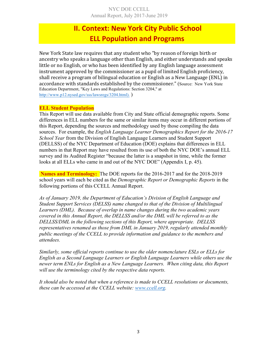# **II. Context: New York City Public School ELL Population and Programs**

New York State law requires that any student who "by reason of foreign birth or ancestry who speaks a language other than English, and either understands and speaks little or no English, or who has been identified by any English language assessment instrument approved by the commissioner as a pupil of limited English proficiency, shall receive a program of bilingual education or English as a New Language (ENL) in accordance with standards established by the commissioner." (Source: New York State Education Department, "Key Laws and Regulations: Section 3204," at http://www.p12.nysed.gov/sss/lawsregs/3204.html). )

#### **ELL Student Population**

This Report will use data available from City and State official demographic reports. Some differences in ELL numbers for the same or similar items may occur in different portions of this Report, depending the sources and methodology used by those compiling the data sources. For example, the *English Language Learner Demographics Report for the 2016-17 School Year* from the Division of English Language Learners and Student Support (DELLSS) of the NYC Department of Education (DOE) explains that differences in ELL numbers in that Report may have resulted from its use of both the NYC DOE's annual ELL survey and its Audited Register "because the latter is a snapshot in time, while the former looks at all ELLs who came in and out of the NYC DOE" (Appendix I, p. 45).

**Names and Terminology:** The DOE reports for the 2016-2017 and for the 2018-2019 school years will each be cited as the *Demographic Report or Demographic Reports* in the following portions of this CCELL Annual Report.

*As of January 2019, the Department of Education's Division of English Language and Student Support Services (DELSS) name changed to that of the Division of Multilingual Learners (DML). Because of overlap in name changes during the two academic years covered in this Annual Report, the DELLSS and/or the DML will be referred to as the DELLSS/DML in the following sections of this Report, where appropriate. DELLSS representatives renamed as those from DML in January 2019, regularly attended monthly public meetings of the CCELL to provide information and guidance to the members and attendees.*

*Similarly, some official reports continue to use the older nomenclature ESLs or ELLs for English as a Second Language Learners or English Language Learners while others use the newer term ENLs for English as a New Language Learners. When citing data, this Report will use the terminology cited by the respective data reports.* 

*It should also be noted that when a reference is made to CCELL resolutions or documents, these can be accessed at the CCELL website: www.ccell.org.*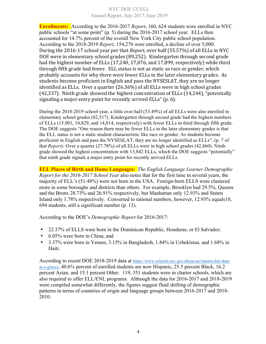**Enrollments:** According to the 2016-2017 *Report*, 160, 624 students were enrolled in NYC public schools "at some point" (p. 5) during the 2016-2017 school year. ELLs then accounted for 14.7% percent of the overall New York City public school population. According to the 2018-2019 *Report*, 154,276 were enrolled, a decline of over 5,000. During the 2016-17 school year per that *Report*, over half (55.57%) of all ELLs in NYC DOE were in elementary school grades (89,252). Kindergarten through second grade had the highest number of ELLs (17,240, 17,076, and 17,899, respectively) while third through fifth grade had fewer. ELL status is not as static as race or gender, which probably accounts for why there were fewer ELLs in the later elementary grades. As students become proficient in English and pass the NYSESLAT, they are no longer identified as ELLs. Over a quarter (26.36%) of all ELLs were in high school grades  $(42,337)$ . Ninth grade showed the highest concentration of ELLs  $(14,244)$ , "potentially signaling a major entry point for recently arrived  $ELLs''$  (p. 6).

During the 2018-2019 school year, a little over half (53.49%) of all ELLs were also enrolled in elementary school grades (82,517). Kindergarten through second grade had the highest numbers of ELLs (15,901, 14,829, and 14,814, respectively) with fewer ELLs in third through fifth grade. The DOE suggests "One reason there may be fewer ELLs in the later elementary grades is that the ELL status is not a static student characteristic like race or gender. As students become proficient in English and pass the NYSESLAT, they are no longer identified as ELLs", (p. 7 of that *Report).* Over a quarter (27.78%) of all ELLs were in high school grades (42,860). Ninth grade showed the highest concentration with 13,842 ELLs, which the DOE suggests "potentially" that ninth grade signals a major entry point for recently arrived ELLs.

**ELL Places of Birth and Home Languages:** *The English Language Learner Demographic Report for the 2016-2017 School Year* also notes that for the first time in several years, the majority of ELL's (51.48%) were not born in the USA. Foreign-born ELLS were clustered more in some boroughs and districts than others. For example, Brooklyn had 29.5%, Queens and the Bronx 28.73% and 26.91% respectively, but Manhattan only 12.93% and Staten Island only 1.78% respectively. Converted to rational numbers, however, 12.93% equals10, 694 students, still a significant number (p. 13).

According to the DOE's *Demographic Report* for 2016-2017:

- 22.37% of ELLS were born in the Dominican Republic, Honduras, or El Salvador;
- 6.05% were born in China; and
- 3.37% were born in Yemen, 3.15% in Bangladesh, 1.84% in Uzbekistan, and 1.68% in Haiti.

According to recent DOE 2018-2019 data at https://www.schools.nyc.gov/about-us/reports/doe-dataat-a-glance, 40.6% percent of enrolled students are now Hispanic, 25.5 percent Black, 16.2 percent Asian, and 15.1 percent Other. 119, 551 students were in charter schools, which are also required to offer ELL/ENL programs. Although the data for 2016-2017 and 2018-2019 were compiled somewhat differently, the figures suggest fluid shifting of demographic patterns in terms of countries of origin and language groups between 2016-2017 and 2018- 2010.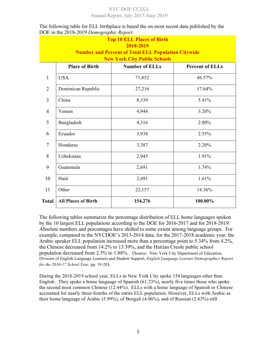| <b>Top 10 ELL Places of Birth</b><br>2018-2019<br><b>Number and Percent of Total ELL Population Citywide</b><br><b>New York City Public Schools</b> |                            |                       |                        |  |  |
|-----------------------------------------------------------------------------------------------------------------------------------------------------|----------------------------|-----------------------|------------------------|--|--|
|                                                                                                                                                     | <b>Place of Birth</b>      | <b>Number of ELLs</b> | <b>Percent of ELLs</b> |  |  |
| $\mathbf{1}$                                                                                                                                        | <b>USA</b>                 | 71,852                | 46.57%                 |  |  |
| $\overline{2}$                                                                                                                                      | Dominican Republic         | 27,216                | 17.64%                 |  |  |
| 3                                                                                                                                                   | China                      | 8,339                 | 5.41%                  |  |  |
| $\overline{4}$                                                                                                                                      | Yemen                      | 4,944                 | 3.20%                  |  |  |
| 5                                                                                                                                                   | Bangladesh                 | 4,316                 | 2.80%                  |  |  |
| 6                                                                                                                                                   | Ecuador                    | 3,938                 | 2.55%                  |  |  |
| $\overline{7}$                                                                                                                                      | Honduras                   | 3,387                 | 2.20%                  |  |  |
| 8                                                                                                                                                   | Uzbekistan                 | 2,945                 | 1.91%                  |  |  |
| 9                                                                                                                                                   | Guatemala                  | 2,691                 | 1.74%                  |  |  |
| 10                                                                                                                                                  | Haiti                      | 2,491                 | 1.61%                  |  |  |
| 11                                                                                                                                                  | Other                      | 22,157                | 14.36%                 |  |  |
| <b>Total</b>                                                                                                                                        | <b>All Places of Birth</b> | 154,276               | 100.00%                |  |  |

The following table for ELL birthplace is based the on most recent data published by the DOE in the 2018-2019 *Demographic Report.*

The following tables summarize the percentage distribution of ELL home languages spoken by the 10 largest ELL populations according to the DOE for 2016-2017 and for 2018-2019. Absolute numbers and percentages have shifted to some extent among language groups. For example, compared to the NYCDOE's 2013-2014 data, for the 2017-2018 academic year, the Arabic speaker ELL population increased more than a percentage point to 5.34% from 4.2%, the Chinese decreased from 14.2% to 13.39%, and the Haitian Creole public school population decreased from 2.3% to 1.88%. (Source: New York City Department of Education, Division of English Language Learners and Student Support, *English Language Learner Demographics Report for the 2016-17 School Year,* pp. 19-20).

During the 2018-2019 school year, ELLs in New York City spoke 154 languages other than English. They spoke a home language of Spanish (61.23%), nearly five times those who spoke the second most common Chinese (12.44%). ELLs with a home language of Spanish or Chinese accounted for nearly three-fourths of the entire ELL population. However, ELLs with Arabic as their home language of Arabic (5.99%), of Bengali (4.06%), and of Russian (2.63%) still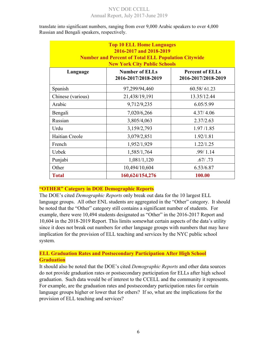translate into significant numbers, ranging from over 9,000 Arabic speakers to over 4,000 Russian and Bengali speakers, respectively.

| <b>Top 10 ELL Home Languages</b><br>2016-2017 and 2018-2019<br><b>Number and Percent of Total ELL Population Citywide</b><br><b>New York City Public Schools</b> |                 |             |  |  |
|------------------------------------------------------------------------------------------------------------------------------------------------------------------|-----------------|-------------|--|--|
| <b>Number of ELLs</b><br><b>Percent of ELLs</b><br>Language<br>2016-2017/2018-2019<br>2016-2017/2018-2019                                                        |                 |             |  |  |
| Spanish                                                                                                                                                          | 97,299/94,460   | 60.58/61.23 |  |  |
| Chinese (various)                                                                                                                                                | 21,438/19,191   | 13.35/12.44 |  |  |
| Arabic                                                                                                                                                           | 9,712/9,235     | 6.05/5.99   |  |  |
| Bengali                                                                                                                                                          | 7,020/6,266     | 4.37/4.06   |  |  |
| Russian                                                                                                                                                          | 3,805/4,063     | 2.37/2.63   |  |  |
| Urdu                                                                                                                                                             | 3,159/2,793     | 1.97/1.85   |  |  |
| Haitian Creole                                                                                                                                                   | 3,079/2,851     | 1.92/1.81   |  |  |
| French                                                                                                                                                           | 1,952/1,929     | 1.22/1.25   |  |  |
| <b>Uzbek</b>                                                                                                                                                     | 1,585/1,764     | .99/1.14    |  |  |
| Punjabi                                                                                                                                                          | 1,081/1,120     | .67/ .73    |  |  |
| Other                                                                                                                                                            | 10,494/10,604   | 6.53/6.87   |  |  |
| <b>Total</b>                                                                                                                                                     | 160,624/154,276 | 100.00      |  |  |

### **"OTHER" Category in DOE Demographic Reports**

The DOE's cited *Demographic Reports* only break out data for the 10 largest ELL language groups. All other ENL students are aggregated in the "Other" category. It should be noted that the "Other" category still contains a significant number of students. For example, there were 10,494 students designated as "Other" in the 2016-2017 Report and 10,604 in the 2018-2019 Report. This limits somewhat certain aspects of the data's utility since it does not break out numbers for other language groups with numbers that may have implication for the provision of ELL teaching and services by the NYC public school system.

### **ELL Graduation Rates and Postsecondary Participation After High School Graduation**

It should also be noted that the DOE's cited *Demographic Reports* and other data sources do not provide graduation rates or postsecondary participation for ELLs after high school graduation. Such data would be of interest to the CCELL and the community it represents. For example, are the graduation rates and postsecondary participation rates for certain language groups higher or lower that for others? If so, what are the implications for the provision of ELL teaching and services?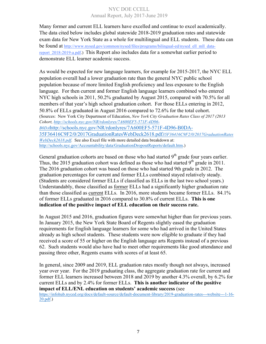Many former and current ELL learners have excelled and continue to excel academically. The data cited below includes global statewide 2018-2019 graduation rates and statewide exam data for New York State as a whole for multilingual and ELL students. These data can be found at http://www.nysed.gov/common/nysed/files/programs/bilingual-ed/nysed ell mll datareport 2018-2019-a.pdf.) This Report also includes data for a somewhat earlier period to demonstrate ELL learner academic success.

As would be expected for new language learners, for example for 2015-2017, the NYC ELL population overall had a lower graduation rate than the general NYC public school population because of more limited English proficiency and less exposure to the English language. For then current and former English language learners combined who entered NYC high schools in 2011, 50.2% graduated by August 2015, compared with 70.5% for all members of that year's high school graduation cohort. For those ELLs entering in 2012, 50.8% of ELLs graduated in August 2016 compared to 72.6% for the total cohort. (Sources: New York City Department of Education, *New York City Graduation Rates Class of 2017 (2013 Cohort, http://schools.nyc.gov/NR/rdonlyres/7A600EF5-571F-4D96- B0DA*http://schools.nyc.gov/NR/rdonlyres/7A600EF5-571F-4D96-B0DA-35F36416C9F2/0/2017GraduationRatesWebDeck2618.pdf*35F36416C9F2/0/2017GraduationRates WebDeck2618.pdf.* See also Excel file with more detailed data breakdown at: http://schools.nyc.gov/Accountability/data/GraduationDropoutReports/default.htm.)

General graduation cohorts are based on those who had started 9<sup>th</sup> grade four years earlier. Thus, the 2015 graduation cohort was defined as those who had started  $9<sup>th</sup>$  grade in 2011. The 2016 graduation cohort was based on those who had started 9th grade in 2012. The graduation percentages for current and former ELLs combined stayed relatively steady. (Students are considered former ELLs if classified as ELLs in the last two school years.) Understandably, those classified as former ELLs had a significantly higher graduation rate than those classified as current ELLs. In 2016, more students became former ELLs. 84.1% of former ELLs graduated in 2016 compared to 30.8% of current ELLs. **This is one indication of the positive impact of ELL education on their success rate.**

In August 2015 and 2016, graduation figures were somewhat higher than for previous years. In January 2015, the New York State Board of Regents slightly eased the graduation requirements for English language learners for some who had arrived in the United States already as high school students. These students were now eligible to graduate if they had received a score of 55 or higher on the English language arts Regents instead of a previous 62. Such students would also have had to meet other requirements like good attendance and passing three other, Regents exams with scores of at least 65.

In general, since 2009 and 2019, ELL graduation rates mostly though not always, increased year over year. For the 2019 graduating class, the aggregate graduation rate for current and former ELL learners increased between 2018 and 2019 by another 4.3% overall, by 6.2% for current ELLs and by 2.4% for former ELLs. **This is another indicator of the positive impact of ELL/ENL education on students' academic success** (see

https://infohub.nyced.org/docs/default-source/default-document-library/2019-graduation-rates---website---1-16- 20.pdf.)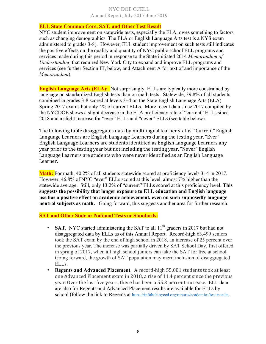### **ELL State Common Core, SAT, and Other Test Result**

NYC student improvement on statewide tests, especially the ELA, owes something to factors such as changing demographics. The ELA or English Language Arts test is a NYS exam administered to grades 3-8). However, ELL student improvement on such tests still indicates the positive effects on the quality and quantity of NYC public school ELL programs and services made during this period in response to the State initiated 2014 *Memorandum of Understanding* that required New York City to expand and improve ELL programs and services (see further Section III, below, and Attachment A for text of and importance of the *Memorandum*).

**English Language Arts (ELA):** Not surprisingly, ELLs are typically more constrained by language on standardized English tests than on math tests. Statewide, 39.8% of all students combined in grades 3-8 scored at levels 3+4 on the State English Language Arts (ELA) Spring 2017 exams but only 4% of current ELLs. More recent data since 2017 compiled by the NYCDOE shows a slight decrease in the ELA proficiency rate of "current" ELLs since 2018 and a slight increase for "ever" ELLs and "never" ELLs (see table below).

The following table disaggregates data by multilingual learner status. "Current" English Language Learners are English Language Learners during the testing year. "Ever" English Language Learners are students identified as English Language Learners any year prior to the testing year but not including the testing year. "Never" English Language Learners are students who were never identified as an English Language Learner. 

**Math:** For math, 40.2% of all students statewide scored at proficiency levels 3+4 in 2017. However, 46.8% of NYC "ever" ELLs scored at this level, almost 7% higher than the statewide average. Still, only 13.2% of "current" ELLs scored at this proficiency level. **This suggests the possibility that longer exposure to ELL education and English language use has a positive effect on academic achievement, even on such supposedly language neutral subjects as math.** Going forward, this suggests another area for further research.

### **SAT and Other State or National Tests or Standards:**

- **SAT.** NYC started administering the SAT to all 11<sup>th</sup> graders in 2017 but had not disaggregated data by ELLs as of this Annual Report. Record-high 63,499 seniors took the SAT exam by the end of high school in 2018, an increase of 25 percent over the previous year. The increase was partially driven by SAT School Day, first offered in spring of 2017, when all high school juniors can take the SAT for free at school. Going forward, the growth of SAT population may merit inclusion of disaggregated ELLs.
- **Regents and Advanced Placement**. A record-high 55,001 students took at least one Advanced Placement exam in 2018, a rise of 11.4 percent since the previous year. Over the last five years, there has been a 55.3 percent increase. ELL data are also for Regents and Advanced Placement results are available for ELLs by school (follow the link to Regents at https://infohub.nyced.org/reports/academics/test-results.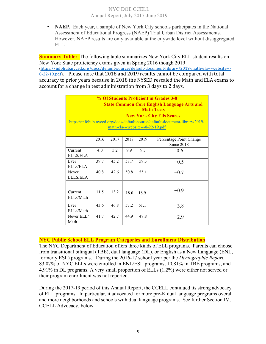• **NAEP.** Each year, a sample of New York City schools participates in the National Assessment of Educational Progress (NAEP) Trial Urban District Assessments. However, NAEP results are only available at the citywide level without disaggregated ELL.

**Summary Table:** The following table summarizes New York City ELL student results on New York State proficiency exams given in Spring 2016 though 2019 (https://infohub.nyced.org/docs/default-source/default-document-library/2019-math-ela---website--- 8-22-19.pdf). Please note that 2018 and 2019 results cannot be compared with total accuracy to prior years because in 2018 the NYSED rescaled the Math and ELA exams to account for a change in test administration from 3 days to 2 days.

| % Of Students Proficient in Grades 3-8<br><b>State Common Core English Language Arts and</b><br><b>Math Tests</b><br><b>New York City Ells Scores</b><br>https://infohub.nyced.org/docs/default-source/default-document-library/2019-<br>math-ela---website---8-22-19.pdf |      |      |      |      |                                       |
|---------------------------------------------------------------------------------------------------------------------------------------------------------------------------------------------------------------------------------------------------------------------------|------|------|------|------|---------------------------------------|
|                                                                                                                                                                                                                                                                           | 2016 | 2017 | 2018 | 2019 | Percentage Point Change<br>Since 2018 |
| Current<br><b>ELLS/ELA</b>                                                                                                                                                                                                                                                | 4.0  | 5.2  | 9.9  | 9.3  | $-0.6$                                |
| Ever<br>ELLs/ELA                                                                                                                                                                                                                                                          | 39.7 | 45.2 | 58.7 | 59.3 | $+0.5$                                |
| Never<br><b>ELLS/ELA</b>                                                                                                                                                                                                                                                  | 40.8 | 42.6 | 50.8 | 55.1 | $+0.7$                                |
| Current<br>ELLs/Math                                                                                                                                                                                                                                                      | 11.5 | 13.2 | 180  | 18.9 | $+0.9$                                |
| Ever<br>ELLs/Math                                                                                                                                                                                                                                                         | 43.6 | 46.8 | 57.2 | 61.1 | $+3.8$                                |
| Never ELL/<br>Math                                                                                                                                                                                                                                                        | 41.7 | 42.7 | 44.9 | 47.8 | $+2.9$                                |

### **NYC Public School ELL Program Categories and Enrollment Distribution**

The NYC Department of Education offers three kinds of ELL programs. Parents can choose from transitional bilingual (TBE), dual language (DL), or English as a New Language (ENL, formerly ESL) programs. During the 2016-17 school year per the *Demographic Report*, 83.07% of NYC ELLs were enrolled in ENL/ESL programs, 10,81% in TBE programs, and 4.91% in DL programs. A very small proportion of ELLs (1.2%) were either not served or their program enrollment was not reported.

During the 2017-19 period of this Annual Report, the CCELL continued its strong advocacy of ELL programs. In particular, it advocated for more pre-K dual language programs overall and more neighborhoods and schools with dual language programs. See further Section IV, CCELL Advocacy, below.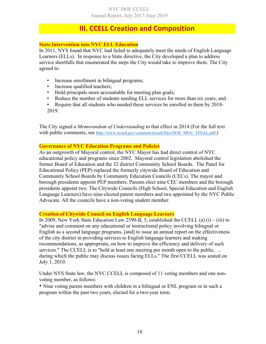# **III. CCELL Creation and Composition**

# **State Intervention into NYC ELL Education**

In 2011, NYS found that NYC had failed to adequately meet the needs of English Language Learners (ELLs). In response to a State directive, the City developed a plan to address service shortfalls that enumerated the steps the City would take to improve them. The City agreed to:

- Increase enrollment in bilingual programs;
- Increase qualified teachers;
- Hold principals more accountable for meeting plan goals;
- Reduce the number of students needing ELL services for more than six years; and
- Require that all students who needed these services be enrolled in them by 2018- 2019.

The City signed a *Memorandum of Understanding* to that effect in 2014 (For the full text with public comments, see http://www.nysed.gov/common/nysed/files/DOE\_MOU\_FINAL.pdf;)

### **Governance of NYC Education Programs and Policies**

As an outgrowth of Mayoral control, the NYC Mayor has had direct control of NYC educational policy and programs since 2002. Mayoral control legislation abolished the former Board of Education and the 32 district Community School Boards. The Panel for Educational Policy (PEP) replaced the formerly citywide Board of Education and Community School Boards by Community Education Councils (CECs). The mayor and borough presidents appoint PEP members. Parents elect nine CEC members and the borough presidents appoint two. The Citywide Councils (High School, Special Education and English Language Learners) have nine-elected parent members and two appointed by the NYC Public Advocate. All the councils have a non-voting student member.

### **Creation of Citywide Council on English Language Learners**

In 2009, New York State Education Law 2590-B, 5, established the CCELL (a) (i) – (iii) to "advise and comment on any educational or instructional policy involving bilingual or English as a second language programs, [and] to issue an annual report on the effectiveness of the city district in providing services to English language learners and making recommendations, as appropriate, on how to improve the efficiency and delivery of such services." The CCELL is to "hold at least one meeting per month open to the public, … during which the public may discuss issues facing ELLs." The first CCELL was seated on July 1, 2010.

Under NYS State law, the NYC CCELL is composed of 11 voting members and one nonvoting member, as follows:

• Nine voting parent members with children in a bilingual or ENL program or in such a program within the past two years, elected for a two-year term.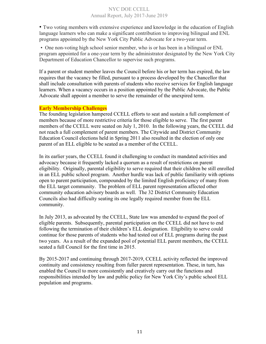• Two voting members with extensive experience and knowledge in the education of English language learners who can make a significant contribution to improving bilingual and ENL programs appointed by the New York City Public Advocate for a two-year term.

• One non-voting high school senior member, who is or has been in a bilingual or ENL program appointed for a one-year term by the administrator designated by the New York City Department of Education Chancellor to supervise such programs.

If a parent or student member leaves the Council before his or her term has expired, the law requires that the vacancy be filled, pursuant to a process developed by the Chancellor that shall include consultation with parents of students who receive services for English language learners. When a vacancy occurs in a position appointed by the Public Advocate, the Public Advocate shall appoint a member to serve the remainder of the unexpired term.

#### **Early Membership Challenges**

The founding legislation hampered CCELL efforts to seat and sustain a full complement of members because of more restrictive criteria for those eligible to serve. The first parent members of the CCELL were seated on July 1, 2010. In the following years, the CCELL did not reach a full complement of parent members. The Citywide and District Community Education Council elections held in Spring 2011 also resulted in the election of only one parent of an ELL eligible to be seated as a member of the CCELL.

In its earlier years, the CCELL found it challenging to conduct its mandated activities and advocacy because it frequently lacked a quorum as a result of restrictions on parent eligibility. Originally, parental eligibility to serve required that their children be still enrolled in an ELL public school program. Another hurdle was lack of public familiarity with options open to parent participation, compounded by the limited English proficiency of many from the ELL target community. The problem of ELL parent representation affected other community education advisory boards as well. The 32 District Community Education Councils also had difficulty seating its one legally required member from the ELL community.

In July 2013, as advocated by the CCELL, State law was amended to expand the pool of eligible parents. Subsequently, parental participation on the CCELL did not have to end following the termination of their children's ELL designation. Eligibility to serve could continue for those parents of students who had tested out of ELL programs during the past two years. As a result of the expanded pool of potential ELL parent members, the CCELL seated a full Council for the first time in 2015.

By 2015-2017 and continuing through 2017-2019, CCELL activity reflected the improved continuity and consistency resulting from fuller parent representation. These, in turn, has enabled the Council to more consistently and creatively carry out the functions and responsibilities intended by law and public policy for New York City's public school ELL population and programs.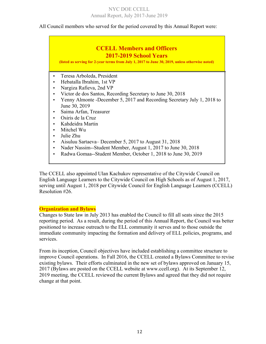All Council members who served for the period covered by this Annual Report were:

# **CCELL Members and Officers 2017-2019 School Years**

**(listed as serving for 2-year terms from July 1, 2017 to June 30, 2019, unless otherwise noted)**

- Teresa Arboleda, President
- Hebatalla Ibrahim, 1st VP
- Nargiza Rafieva, 2nd VP
- Victor de dos Santos, Recording Secretary to June 30, 2018
- Yenny Almonte -December 5, 2017 and Recording Secretary July 1, 2018 to June 30, 2019
- Saima Arfan, Treasurer
- Osiris de la Cruz
- Kahdeidra Martin
- Mitchel Wu
- Julie Zhu
- Aisuluu Sartaeva– December 5, 2017 to August 31, 2018
- Nader Nassim--Student Member, August 1, 2017 to June 30, 2018
- Radwa Gomaa--Student Member, October 1, 2018 to June 30, 2019

The CCELL also appointed Ulan Kachukov representative of the Citywide Council on English Language Learners to the Citywide Council on High Schools as of August 1, 2017, serving until August 1, 2018 per Citywide Council for English Language Learners (CCELL) Resolution #26.

#### **Organization and Bylaws**

Changes to State law in July 2013 has enabled the Council to fill all seats since the 2015 reporting period. As a result, during the period of this Annual Report, the Council was better positioned to increase outreach to the ELL community it serves and to those outside the immediate community impacting the formation and delivery of ELL policies, programs, and services.

From its inception, Council objectives have included establishing a committee structure to improve Council operations. In Fall 2016, the CCELL created a Bylaws Committee to revise existing bylaws. Their efforts culminated in the new set of bylaws approved on January 15, 2017 (Bylaws are posted on the CCELL website at www.ccell.org). At its September 12, 2019 meeting, the CCELL reviewed the current Bylaws and agreed that they did not require change at that point.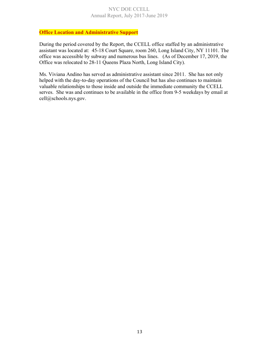### **Office Location and Administrative Support**

During the period covered by the Report, the CCELL office staffed by an administrative assistant was located at: 45-18 Court Square, room 260, Long Island City, NY 11101. The office was accessible by subway and numerous bus lines. (As of December 17, 2019, the Office was relocated to 28-11 Queens Plaza North, Long Island City).

Ms. Viviana Andino has served as administrative assistant since 2011. She has not only helped with the day-to-day operations of the Council but has also continues to maintain valuable relationships to those inside and outside the immediate community the CCELL serves. She was and continues to be available in the office from 9-5 weekdays by email at cell@schools.nys.gov.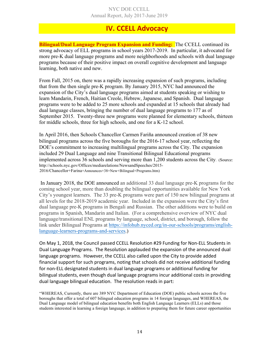# **IV. CCELL Advocacy**

**Bilingual/Dual Language Program Expansion and Funding:** The CCELL continued its strong advocacy of ELL programs in school years 2017-2019. In particular, it advocated for more pre-K dual language programs and more neighborhoods and schools with dual language programs because of their positive impact on overall cognitive development and language learning, both native and new.

From Fall, 2015 on, there was a rapidly increasing expansion of such programs, including that from the then single pre-K program. By January 2015, NYC had announced the expansion of the City's dual language programs aimed at students speaking or wishing to learn Mandarin, French, Haitian Creole, Hebrew, Japanese, and Spanish. Dual language programs were to be added to 25 more schools and expanded at 15 schools that already had dual language classes, bringing the number of dual language programs to 177 as of September 2015. Twenty-three new programs were planned for elementary schools, thirteen for middle schools, three for high schools, and one for a K-12 school.

In April 2016, then Schools Chancellor Carmen Fariña announced creation of 38 new bilingual programs across the five boroughs for the 2016-17 school year, reflecting the DOE's commitment to increasing multilingual programs across the City. The expansion included 29 Dual Language and nine Transitional Bilingual Educational programs implemented across 36 schools and serving more than 1,200 students across the City. (Source: http://schools.nyc.gov/Offices/mediarelations/NewsandSpeeches/2015- 2016/Chancellor+Farina+Announces+38+New+Bilingual+Programs.htm)

In January 2018, the DOE announced an additional 33 dual language pre-K programs for the coming school year, more than doubling the bilingual opportunities available for New York City's youngest learners. The 33 pre-K programs were part of 150 new bilingual programs at all levels for the 2018-2019 academic year. Included in the expansion were the City's first dual language pre-K programs in Bengali and Russian. The other additions were to build on programs in Spanish, Mandarin and Italian. (For a comprehensive overview of NYC dual language/transitional ENL programs by language, school, district, and borough, follow the link under Bilingual Programs at https://infohub.nyced.org/in-our-schools/programs/englishlanguage-learners-programs-and-services.)

On May 1, 2018, the Council passed CCELL Resolution #29 Funding for Non-ELL Students in Dual Language Programs. The Resolution applauded the expansion of the announced dual language programs. However, the CCELL also called upon the City to provide added financial support for such programs, noting that schools did not receive additional funding for non-ELL designated students in dual language programs or additional funding for bilingual students, even though dual language programs incur additional costs in providing dual language bilingual education. The resolution reads in part:

"WHEREAS, Currently, there are 389 NYC Department of Education (DOE) public schools across the five boroughs that offer a total of 607 bilingual education programs in 14 foreign languages, and WHEREAS, the Dual Language model of bilingual education benefits both English Language Learners (ELLs) and those students interested in learning a foreign language, in addition to preparing them for future career opportunities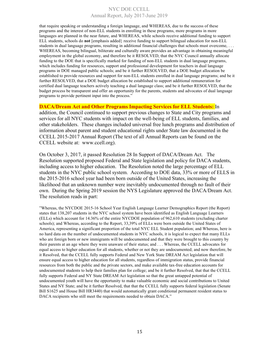that require speaking or understanding a foreign language, and WHEREAS, due to the success of these programs and the interest of non-ELL students in enrolling in these programs, more programs in more languages are planned in the near future, and WHEREAS, while schools receive additional funding to support ELL students, schools do **not** [emphasis added} receive funding to support bilingual education for non-ELL students in dual language programs, resulting in additional financial challenges that schools must overcome, . . . WHEREAS, becoming bilingual, biliterate and culturally aware provides an advantage in obtaining meaningful employment in the global economy, and therefore be it RESOLVED, that the NYC Council annually allocate funding to the DOE that is specifically marked for funding of non-ELL students in dual language programs, which includes funding for resources, support and professional development for teachers in dual language programs in DOE managed public schools; and be it further RESOLVED, that a DOE budget allocation be established to provide resources and support for non-ELL students enrolled in dual language programs; and be it further RESOLVED, that a DOE budget allocation be established to support additional remuneration for certified dual language teachers actively teaching a dual language class; and be it further RESOLVED, that the budget process be transparent and offer an opportunity for the parents, students and advocates of dual language programs to provide pertinent input into the process."

**DACA/Dream Act and Other Programs Impacting Services for ELL Students:** In addition, the Council continued to support previous changes to State and City programs and services for all NYC students with impact on the well-being of ELL students, families, and other stakeholders. These changes included universal free lunch programs and distribution of information about parent and student educational rights under State law documented in the CCELL 2015-2017 Annual Report (The text of all Annual Reports can be found on the CCELL website at: www.ccell.org).

On October 3, 2017, it passed Resolution 28 In Support of DACA/Dream Act. The Resolution supported proposed Federal and State legislation and policy for DACA students, including access to higher education. The Resolution noted the large percentage of ELL students in the NYC public school system. According to DOE data, 33% or more of ELLS in the 2015-2016 school year had been born outside of the United States, increasing the likelihood that an unknown number were inevitably undocumented through no fault of their own. During the Spring 2019 session the NYS Legislature approved the DACA/Dream Act. The resolution reads in part:

"Whereas, the NYCDOE 2015-16 School Year English Language Learner Demographics Report (the Report) states that 138,207 students in the NYC school system have been identified as English Language Learners (ELLs) which account for 14.36% of the entire NYCDOE population of 962,610 students (excluding charter schools); and Whereas, according to the Report, 33,39% of ELLs were born outside the United States of America, representing a significant proportion of the total NYC ELL Student population; and Whereas, here is no hard data on the number of undocumented students in NYC schools, it is logical to expect that many ELLs who are foreign born or new immigrants will be undocumented and that they were brought to this country by their parents at an age where they were unaware of their status; and . . . Whereas, the CCELL advocates for equal access to higher education for all students, whether or not they are undocumented; and now therefore, be it Resolved, that the CCELL fully supports Federal and New York State DREAM Act legislation that will ensure equal access to higher education for all students, regardless of immigration status, provide financial resources from both the public and the private sectors, and make available tax-free education accounts for undocumented students to help their families plan for college; and be it further Resolved, that that the CCELL fully supports Federal and NY State DREAM Act legislation so that the great untapped potential of undocumented youth will have the opportunity to make valuable economic and social contributions to United States and NY State; and be it further Resolved, that that the CCELL fully supports federal legislation (Senate Bill S1625 and House Bill HR3440) that would automatically grant conditional permanent resident status to DACA recipients who still meet the requirements needed to obtain DACA."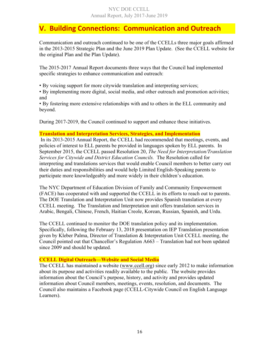# **V. Building Connections: Communication and Outreach**

Communication and outreach continued to be one of the CCELLs three major goals affirmed in the 2013-2015 Strategic Plan and the June 2019 Plan Update. (See the CCELL website for the original Plan and the Plan Update).

The 2015-2017 Annual Report documents three ways that the Council had implemented specific strategies to enhance communication and outreach:

• By voicing support for more citywide translation and interpreting services;

• By implementing more digital, social media, and other outreach and promotion activities; and

• By fostering more extensive relationships with and to others in the ELL community and beyond.

During 2017-2019, the Council continued to support and enhance these initiatives.

### **Translation and Interpretation Services, Strategies, and Implementation**

In its 2013-2015 Annual Report, the CCELL had recommended that meetings, events, and policies of interest to ELL parents be provided in languages spoken by ELL parents. In September 2015, the CCELL passed Resolution 20, *The Need for Interpretation/Translation Services for Citywide and District Education Councils.* The Resolution called for interpreting and translations services that would enable Council members to better carry out their duties and responsibilities and would help Limited English-Speaking parents to participate more knowledgeably and more widely in their children's education.

The NYC Department of Education Division of Family and Community Empowerment (FACE) has cooperated with and supported the CCELL in its efforts to reach out to parents. The DOE Translation and Interpretation Unit now provides Spanish translation at every CCELL meeting. The Translation and Interpretation unit offers translation services in Arabic, Bengali, Chinese, French, Haitian Creole, Korean, Russian, Spanish, and Urdu.

The CCELL continued to monitor the DOE translation policy and its implementation. Specifically, following the February 13, 2018 presentation on IEP Translation presentation given by Kleber Palma, Director of Translation & Interpretation Unit CCELL meeting, the Council pointed out that Chancellor's Regulation A663 – Translation had not been updated since 2009 and should be updated.

### **CCELL Digital Outreach—Website and Social Media**

The CCELL has maintained a website (www.ccell.org) since early 2012 to make information about its purpose and activities readily available to the public. The website provides information about the Council's purpose, history, and activity and provides updated information about Council members, meetings, events, resolution, and documents. The Council also maintains a Facebook page (CCELL-Citywide Council on English Language Learners).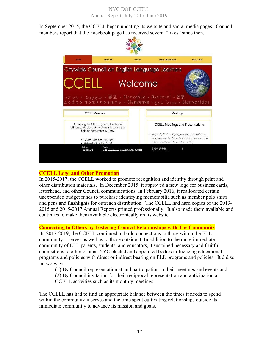In September 2015, the CCELL began updating its website and social media pages. Council members report that the Facebook page has received several "likes" since then.



# **CCELL Logo and Other Promotion**

In 2015-2017, the CCELL worked to promote recognition and identity through print and other distribution materials. In December 2015, it approved a new logo for business cards, letterhead, and other Council communications. In February 2016, it reallocated certain unexpended budget funds to purchase identifying memorabilia such as member polo shirts and pens and flashlights for outreach distribution. The CCELL had hard copies of the 2013- 2015 and 2015-2017 Annual Reports printed professionally. It also made them available and continues to make them available electronically on its website.

# **Connecting to Others by Fostering Council Relationships with The Community**

In 2017-2019, the CCELL continued to build connections to those within the ELL community it serves as well as to those outside it. In addition to the more immediate community of ELL parents, students, and educators, it sustained necessary and fruitful connections to other official NYC elected and appointed bodies influencing educational programs and policies with direct or indirect bearing on ELL programs and policies. It did so in two ways:

(1) By Council representation at and participation in their meetings and events and (2) By Council invitation for their reciprocal representation and anticipation at CCELL activities such as its monthly meetings.

The CCELL has had to find an appropriate balance between the times it needs to spend within the community it serves and the time spent cultivating relationships outside its immediate community to advance its mission and goals.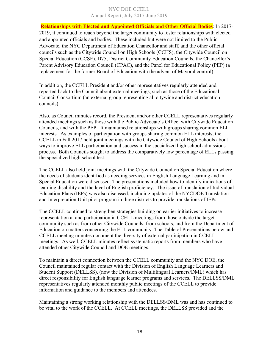**Relationships with Elected and Appointed Officials and Other Official Bodies**: In 2017- 2019, it continued to reach beyond the target community to foster relationships with elected and appointed officials and bodies. These included but were not limited to the Public Advocate, the NYC Department of Education Chancellor and staff, and the other official councils such as the Citywide Council on High Schools (CCHS), the Citywide Council on Special Education (CCSE), D75, District Community Education Councils, the Chancellor's Parent Advisory Education Council (CPAC), and the Panel for Educational Policy (PEP) (a replacement for the former Board of Education with the advent of Mayoral control).

In addition, the CCELL President and/or other representatives regularly attended and reported back to the Council about external meetings, such as those of the Educational Council Consortium (an external group representing all citywide and district education councils).

Also, as Council minutes record, the President and/or other CCELL representatives regularly attended meetings such as those with the Public Advocate's Office, with Citywide Education Councils, and with the PEP. It maintained relationships with groups sharing common ELL interests. As examples of participation with groups sharing common ELL interests, the CCELL in Fall 2017 held joint meetings with the Citywide Council of High Schools about ways to improve ELL participation and success in the specialized high school admissions process. Both Councils sought to address the comparatively low percentage of ELLs passing the specialized high school test.

The CCELL also held joint meetings with the Citywide Council on Special Education where the needs of students identified as needing services in English Language Learning and in Special Education were discussed. The presentations included how to identify indications of learning disability and the level of English proficiency. The issue of translation of Individual Education Plans (IEPs) was also discussed, including updates of the NYCDOE Translation and Interpretation Unit pilot program in three districts to provide translations of IEPs.

The CCELL continued to strengthen strategies building on earlier initiatives to increase representation at and participation in CCELL meetings from those outside the target community such as from other Citywide Councils, from schools, and from the Department of Education on matters concerning the ELL community. The Table of Presentations below and CCELL meeting minutes document the diversity of external participation in CCELL meetings. As well, CCELL minutes reflect systematic reports from members who have attended other Citywide Council and DOE meetings.

To maintain a direct connection between the CCELL community and the NYC DOE, the Council maintained regular contact with the Division of English Language Learners and Student Support (DELLSS), (now the Division of Multilingual Learners/DML) which has direct responsibility for English language learner programs and services. The DELLSS/DML representatives regularly attended monthly public meetings of the CCELL to provide information and guidance to the members and attendees.

Maintaining a strong working relationship with the DELLSS/DML was and has continued to be vital to the work of the CCELL. At CCELL meetings, the DELLSS provided and the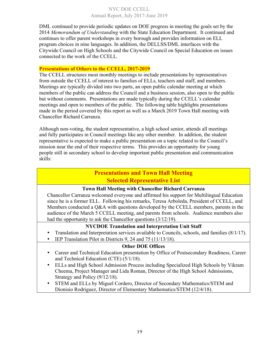DML continued to provide periodic updates on DOE progress in meeting the goals set by the 2014 *Memorandum of Understanding* with the State Education Department. It continued and continues to offer parent workshops in every borough and provides information on ELL program choices in nine languages. In addition, the DELLSS/DML interfaces with the Citywide Council on High Schools and the Citywide Council on Special Education on issues connected to the work of the CCELL.

### **Presentations of Others to the CCELL, 2017-2019**

The CCELL structures most monthly meetings to include presentations by representatives from outside the CCELL of interest to families of ELLs, teachers and staff, and members. Meetings are typically divided into two parts, an open public calendar meeting at which members of the public can address the Council and a business session, also open to the public but without comments. Presentations are made typically during the CCELL's calendar meetings and open to members of the public. The following table highlights presentations made in the period covered by this report as well as a March 2019 Town Hall meeting with Chancellor Richard Carranza.

Although non-voting, the student representative, a high school senior, attends all meetings and fully participates in Council meetings like any other member. In addition, the student representative is expected to make a public presentation on a topic related to the Council's mission near the end of their respective terms. This provides an opportunity for young people still in secondary school to develop important public presentation and communication skills:

# **Presentations and Town Hall Meeting Selected Representative List**

### **Town Hall Meeting with Chancellor Richard Carranza**

Chancellor Carranza welcomed everyone and affirmed his support for Multilingual Education since he is a former ELL. Following his remarks, Teresa Arboleda, President of CCELL, and Members conducted a Q&A with questions developed by the CCELL members, parents in the audience of the March 5 CCELL meeting, and parents from schools. Audience members also had the opportunity to ask the Chancellor questions (3/12/19).

### **NYCDOE Translation and Interpretation Unit Staff**

- Translation and Interpretation services available to Councils, schools, and families (8/1/17).
- IEP Translation Pilot in Districts 9, 24 and 75 (11/13/18).

### **Other DOE Offices**

- Career and Technical Education presentation by Office of Postsecondary Readiness, Career and Technical Education (CTE) (5/1/18).
- ELLs and High School Admission Process including Specialized High Schools by Vikram Cheema, Project Manager and Lida Roman, Director of the High School Admissions, Strategy and Policy (9/12/18).
- STEM and ELLs by Miguel Cordero, Director of Secondary Mathematics/STEM and Dionisio Rodriguez, Director of Elementary Mathematics/STEM (12/4/18).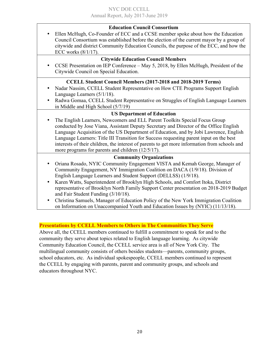| <b>Education Council Consortium</b>                                                                                                                                                                                                                                                                                                                                                                                                                                                                                |
|--------------------------------------------------------------------------------------------------------------------------------------------------------------------------------------------------------------------------------------------------------------------------------------------------------------------------------------------------------------------------------------------------------------------------------------------------------------------------------------------------------------------|
| Ellen McHugh, Co-Founder of ECC and a CCSE member spoke about how the Education<br>Council Consortium was established before the election of the current mayor by a group of<br>citywide and district Community Education Councils, the purpose of the ECC, and how the                                                                                                                                                                                                                                            |
| ECC works $(8/1/17)$ .                                                                                                                                                                                                                                                                                                                                                                                                                                                                                             |
| <b>Citywide Education Council Members</b>                                                                                                                                                                                                                                                                                                                                                                                                                                                                          |
| CCSE Presentation on IEP Conference – May 5, 2018, by Ellen McHugh, President of the<br>Citywide Council on Special Education.                                                                                                                                                                                                                                                                                                                                                                                     |
| <b>CCELL Student Council Members (2017-2018 and 2018-2019 Terms)</b>                                                                                                                                                                                                                                                                                                                                                                                                                                               |
| Nadar Nassim, CCELL Student Representative on How CTE Programs Support English<br>$\bullet$<br>Language Learners (5/1/18).                                                                                                                                                                                                                                                                                                                                                                                         |
| Radwa Gomaa, CCELL Student Representative on Struggles of English Language Learners<br>in Middle and High School (5/7/19)                                                                                                                                                                                                                                                                                                                                                                                          |
| <b>US Department of Education</b>                                                                                                                                                                                                                                                                                                                                                                                                                                                                                  |
| The English Learners, Newcomers and ELL Parent Toolkits Special Focus Group<br>conducted by Jose Viana, Assistant Deputy Secretary and Director of the Office English<br>Language Acquisition of the US Department of Education, and by Jobi Lawrence, English<br>Language Learners: Title III Transition for Success requesting parent input on the best<br>interests of their children, the interest of parents to get more information from schools and<br>more programs for parents and children $(12/5/17)$ . |
| <b>Community Organizations</b>                                                                                                                                                                                                                                                                                                                                                                                                                                                                                     |
| Oriana Rosado, NYIC Community Engagement VISTA and Kemah George, Manager of<br>$\bullet$<br>Community Engagement, NY Immigration Coalition on DACA (1/9/18). Division of<br>English Language Learners and Student Support (DELLSS) (1/9/18).                                                                                                                                                                                                                                                                       |
| Karen Watts, Superintendent of Brooklyn High Schools, and Comfort Itoka, District<br>$\bullet$<br>representative of Brooklyn North Family Support Center presentation on 2018-2019 Budget<br>and Fair Student Funding (3/10/18).                                                                                                                                                                                                                                                                                   |
| Christina Samuels, Manager of Education Policy of the New York Immigration Coalition<br>$\bullet$<br>on Information on Unaccompanied Youth and Education Issues by (NYIC) (11/13/18).                                                                                                                                                                                                                                                                                                                              |

### **Presentations by CCELL Members to Others in The Communities They Serve**

Above all, the CCELL members continued to fulfill a commitment to speak for and to the community they serve about topics related to English language learning. As citywide Community Education Council, the CCELL service area is all of New York City. The multilingual community consists of others besides students—parents, community groups, school educators, etc. As individual spokespeople, CCELL members continued to represent the CCELL by engaging with parents, parent and community groups, and schools and educators throughout NYC.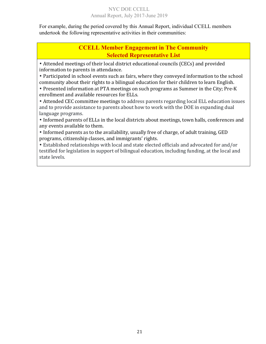For example, during the period covered by this Annual Report, individual CCELL members undertook the following representative activities in their communities:

# **CCELL Member Engagement in The Community Selected Representative List**

• Attended meetings of their local district educational councils (CECs) and provided information to parents in attendance.

• Participated in school events such as fairs, where they conveyed information to the school community about their rights to a bilingual education for their children to learn English.

• Presented information at PTA meetings on such programs as Summer in the City; Pre-K enrollment and available resources for ELLs.

• Attended CEC committee meetings to address parents regarding local ELL education issues and to provide assistance to parents about how to work with the DOE in expanding dual language programs.

• Informed parents of ELLs in the local districts about meetings, town halls, conferences and any events available to them.

• Informed parents as to the availability, usually free of charge, of adult training, GED programs, citizenship classes, and immigrants' rights.

• Established relationships with local and state elected officials and advocated for and/or testified for legislation in support of bilingual education, including funding, at the local and state levels.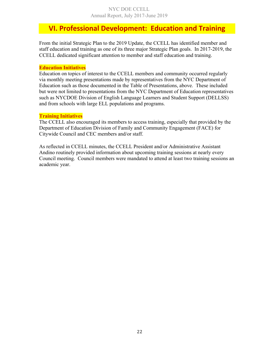# **VI. Professional Development: Education and Training**

From the initial Strategic Plan to the 2019 Update, the CCELL has identified member and staff education and training as one of its three major Strategic Plan goals. In 2017-2019, the CCELL dedicated significant attention to member and staff education and training.

### **Education Initiatives**

Education on topics of interest to the CCELL members and community occurred regularly via monthly meeting presentations made by representatives from the NYC Department of Education such as those documented in the Table of Presentations, above. These included but were not limited to presentations from the NYC Department of Education representatives such as NYCDOE Division of English Language Learners and Student Support (DELLSS) and from schools with large ELL populations and programs.

#### **Training Initiatives**

The CCELL also encouraged its members to access training, especially that provided by the Department of Education Division of Family and Community Engagement (FACE) for Citywide Council and CEC members and/or staff.

As reflected in CCELL minutes, the CCELL President and/or Administrative Assistant Andino routinely provided information about upcoming training sessions at nearly every Council meeting. Council members were mandated to attend at least two training sessions an academic year.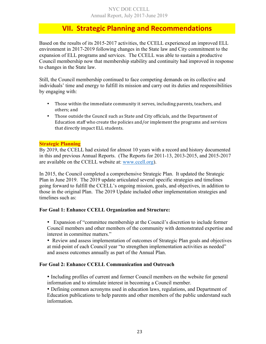# **VII. Strategic Planning and Recommendations**

Based on the results of its 2015-2017 activities, the CCELL experienced an improved ELL environment in 2017-2019 following changes in the State law and City commitment to the expansion of ELL programs and services. The CCELL was able to sustain a productive Council membership now that membership stability and continuity had improved in response to changes in the State law.

Still, the Council membership continued to face competing demands on its collective and individuals' time and energy to fulfill its mission and carry out its duties and responsibilities by engaging with:

- Those within the immediate community it serves, including parents, teachers, and others; and
- Those outside the Council such as State and City officials, and the Department of Education staff who create the policies and/or implement the programs and services that directly impact ELL students.

### **Strategic Planning**

By 2019, the CCELL had existed for almost 10 years with a record and history documented in this and previous Annual Reports. (The Reports for 2011-13, 2013-2015, and 2015-2017 are available on the CCELL website at: www.ccell.org).

In 2015, the Council completed a comprehensive Strategic Plan. It updated the Strategic Plan in June 2019. The 2019 update articulated several specific strategies and timelines going forward to fulfill the CCELL's ongoing mission, goals, and objectives, in addition to those in the original Plan. The 2019 Update included other implementation strategies and timelines such as:

# **For Goal 1: Enhance CCELL Organization and Structure:**

- Expansion of "committee membership at the Council's discretion to include former Council members and other members of the community with demonstrated expertise and interest in committee matters."
- Review and assess implementation of outcomes of Strategic Plan goals and objectives at mid-point of each Council year "to strengthen implementation activities as needed" and assess outcomes annually as part of the Annual Plan.

# **For Goal 2: Enhance CCELL Communication and Outreach**

• Including profiles of current and former Council members on the website for general information and to stimulate interest in becoming a Council member.

• Defining common acronyms used in education laws, regulations, and Department of Education publications to help parents and other members of the public understand such information.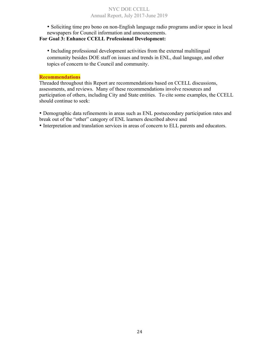• Soliciting time pro bono on non-English language radio programs and/or space in local newspapers for Council information and announcements.

### **For Goal 3: Enhance CCELL Professional Development:**

• Including professional development activities from the external multilingual community besides DOE staff on issues and trends in ENL, dual language, and other topics of concern to the Council and community.

### **Recommendations**

Threaded throughout this Report are recommendations based on CCELL discussions, assessments, and reviews. Many of these recommendations involve resources and participation of others, including City and State entities. To cite some examples, the CCELL should continue to seek:

• Demographic data refinements in areas such as ENL postsecondary participation rates and break out of the "other" category of ENL learners described above and

• Interpretation and translation services in areas of concern to ELL parents and educators.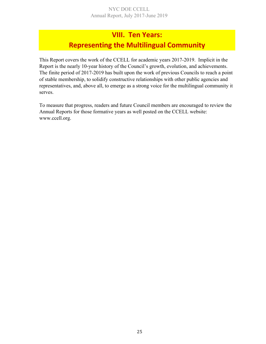# **VIII. Ten Years: Representing the Multilingual Community**

This Report covers the work of the CCELL for academic years 2017-2019. Implicit in the Report is the nearly 10-year history of the Council's growth, evolution, and achievements. The finite period of 2017-2019 has built upon the work of previous Councils to reach a point of stable membership, to solidify constructive relationships with other public agencies and representatives, and, above all, to emerge as a strong voice for the multilingual community it serves.

To measure that progress, readers and future Council members are encouraged to review the Annual Reports for those formative years as well posted on the CCELL website: www.ccell.org.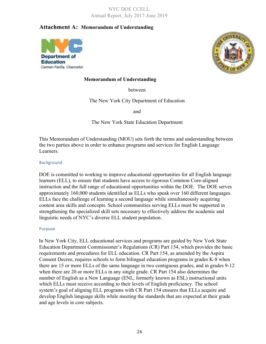# **Attachment A: Memorandum of Understanding**





#### **Memorandum of Understanding**

between

The New York City Department of Education

and

The New York State Education Department

This Memorandum of Understanding (MOU) sets forth the terms and understanding between the two parties above in order to enhance programs and services for English Language Learners.

#### **Background**

DOE is committed to working to improve educational opportunities for all English language learners (ELL), to ensure that students have access to rigorous Common Core-aligned instruction and the full range of educational opportunities within the DOE. The DOE serves approximately 160,000 students identified as ELLs who speak over 160 different languages. ELLs face the challenge of learning a second language while simultaneously acquiring content area skills and concepts. School communities serving ELLs must be supported in strengthening the specialized skill sets necessary to effectively address the academic and linguistic needs of NYC's diverse ELL student population.

#### Purpose

In New York City, ELL educational services and programs are guided by New York State Education Department Commissioner's Regulations (CR) Part 154, which provides the basic requirements and procedures for ELL education. CR Part 154, as amended by the Aspira Consent Decree, requires schools to form bilingual education programs in grades K-8 when there are 15 or more ELLs of the same language in two contiguous grades, and in grades 9-12 when there are 20 or more ELLs in any single grade. CR Part 154 also determines the number of English as a New Language (ENL, formerly known as ESL) instructional units which ELLs must receive according to their levels of English proficiency. The school system's goal of aligning ELL programs with CR Part 154 ensures that ELLs acquire and develop English language skills while meeting the standards that are expected at their grade and age levels in core subjects.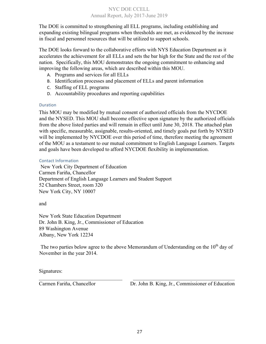The DOE is committed to strengthening all ELL programs, including establishing and expanding existing bilingual programs when thresholds are met, as evidenced by the increase in fiscal and personnel resources that will be utilized to support schools.

The DOE looks forward to the collaborative efforts with NYS Education Department as it accelerates the achievement for all ELLs and sets the bar high for the State and the rest of the nation. Specifically, this MOU demonstrates the ongoing commitment to enhancing and improving the following areas, which are described within this MOU.

- A. Programs and services for all ELLs
- B. Identification processes and placement of ELLs and parent information
- C. Staffing of ELL programs
- D. Accountability procedures and reporting capabilities

#### Duration

This MOU may be modified by mutual consent of authorized officials from the NYCDOE and the NYSED. This MOU shall become effective upon signature by the authorized officials from the above listed parties and will remain in effect until June 30, 2018. The attached plan with specific, measurable, assignable, results-oriented, and timely goals put forth by NYSED will be implemented by NYCDOE over this period of time, therefore meeting the agreement of the MOU as a testament to our mutual commitment to English Language Learners. Targets and goals have been developed to afford NYCDOE flexibility in implementation.

#### Contact Information

New York City Department of Education Carmen Fariña, Chancellor Department of English Language Learners and Student Support 52 Chambers Street, room 320 New York City, NY 10007

and

New York State Education Department Dr. John B. King, Jr., Commissioner of Education 89 Washington Avenue Albany, New York 12234

The two parties below agree to the above Memorandum of Understanding on the  $10<sup>th</sup>$  day of November in the year 2014.

 $\_$  , and the contribution of the contribution of  $\mathcal{L}_\mathbf{z}$  , and the contribution of  $\mathcal{L}_\mathbf{z}$ 

Signatures:

Carmen Fariña, Chancellor Dr. John B. King, Jr., Commissioner of Education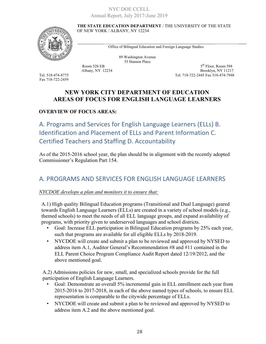**THE STATE EDUCATION DEPARTMENT** / THE UNIVERSITY OF THE STATE OF NEW YORK / ALBANY, NY 12234



Office of Bilingual Education and Foreign Language Studies

89 Washington Avenue 55 Hanson Place

Fax 718-722-2459

Room 528 EB  $5^{th}$  Floor, Room 594 Albany, NY 12234 Brooklyn, NY 11217 Tel. 518-474-8775 Tel. 718-722-2445 Fax 518-474-7948

# **NEW YORK CITY DEPARTMENT OF EDUCATION AREAS OF FOCUS FOR ENGLISH LANGUAGE LEARNERS**

# **OVERVIEW OF FOCUS AREAS:**

A. Programs and Services for English Language Learners (ELLs) B. Identification and Placement of ELLs and Parent Information C. Certified Teachers and Staffing D. Accountability

As of the 2015-2016 school year, the plan should be in alignment with the recently adopted Commissioner's Regulation Part 154.

# A*.* PROGRAMS AND SERVICES FOR ENGLISH LANGUAGE LEARNERS

### *NYCDOE develops a plan and monitors it to ensure that:*

A.1) High quality Bilingual Education programs (Transitional and Dual Language) geared towards English Language Learners (ELLs) are created in a variety of school models (e.g., themed schools) to meet the needs of all ELL language groups, and expand availability of programs, with priority given to underserved languages and school districts.

- Goal: Increase ELL participation in Bilingual Education programs by 25% each year, such that programs are available for all eligible ELLs by 2018-2019.
- NYCDOE will create and submit a plan to be reviewed and approved by NYSED to address item A.1, Auditor General's Recommendation #8 and #11 contained in the ELL Parent Choice Program Compliance Audit Report dated 12/19/2012, and the above mentioned goal.

A.2) Admissions policies for new, small, and specialized schools provide for the full participation of English Language Learners.

- Goal: Demonstrate an overall 5% incremental gain in ELL enrollment each year from 2015-2016 to 2017-2018, in each of the above named types of schools, to ensure ELL representation is comparable to the citywide percentage of ELLs.
- NYCDOE will create and submit a plan to be reviewed and approved by NYSED to address item A.2 and the above mentioned goal.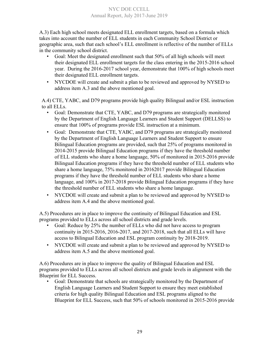A.3) Each high school meets designated ELL enrollment targets, based on a formula which takes into account the number of ELL students in each Community School District or geographic area, such that each school's ELL enrollment is reflective of the number of ELLs in the community school district.

- Goal: Meet the designated enrollment such that 50% of all high schools will meet their designated ELL enrollment targets for the class entering in the 2015-2016 school year. During the 2016-2017 school year, demonstrate that 100% of high schools meet their designated ELL enrollment targets.
- NYCDOE will create and submit a plan to be reviewed and approved by NYSED to address item A.3 and the above mentioned goal.

A.4) CTE, YABC, and D79 programs provide high quality Bilingual and/or ESL instruction to all ELLs.

- Goal: Demonstrate that CTE, YABC, and D79 programs are strategically monitored by the Department of English Language Learners and Student Support (DELLSS) to ensure that 100% of programs provide ESL instruction at a minimum.
- Goal: Demonstrate that CTE, YABC, and D79 programs are strategically monitored by the Department of English Language Learners and Student Support to ensure Bilingual Education programs are provided, such that 25% of programs monitored in 2014-2015 provide Bilingual Education programs if they have the threshold number of ELL students who share a home language, 50% of monitored in 2015-2016 provide Bilingual Education programs if they have the threshold number of ELL students who share a home language, 75% monitored in 20162017 provide Bilingual Education programs if they have the threshold number of ELL students who share a home language, and 100% in 2017-2018 provide Bilingual Education programs if they have the threshold number of ELL students who share a home language.
- NYCDOE will create and submit a plan to be reviewed and approved by NYSED to address item A.4 and the above mentioned goal.

A.5) Procedures are in place to improve the continuity of Bilingual Education and ESL programs provided to ELLs across all school districts and grade levels.

- Goal: Reduce by 25% the number of ELLs who did not have access to program continuity in 2015-2016, 2016-2017, and 2017-2018, such that all ELLs will have access to Bilingual Education and ESL program continuity by 2018-2019.
- NYCDOE will create and submit a plan to be reviewed and approved by NYSED to address item A.5 and the above mentioned goal.

A.6) Procedures are in place to improve the quality of Bilingual Education and ESL programs provided to ELLs across all school districts and grade levels in alignment with the Blueprint for ELL Success.

• Goal: Demonstrate that schools are strategically monitored by the Department of English Language Learners and Student Support to ensure they meet established criteria for high quality Bilingual Education and ESL programs aligned to the Blueprint for ELL Success, such that 50% of schools monitored in 2015-2016 provide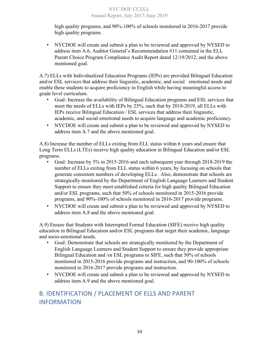high quality programs, and 90%-100% of schools monitored in 2016-2017 provide high quality programs.

• NYCDOE will create and submit a plan to be reviewed and approved by NYSED to address item A.6, Auditor General's Recommendation #11 contained in the ELL Parent Choice Program Compliance Audit Report dated 12/19/2012, and the above mentioned goal.

A.7) ELLs with Individualized Education Programs (IEPs) are provided Bilingual Education and/or ESL services that address their linguistic, academic, and social emotional needs and enable these students to acquire proficiency in English while having meaningful access to grade level curriculum.

- Goal: Increase the availability of Bilingual Education programs and ESL services that meet the needs of ELLs with IEPs by 25%, such that by 2018-2019, all ELLs with IEPs receive Bilingual Education / ESL services that address their linguistic, academic, and social-emotional needs to acquire language and academic proficiency.
- NYCDOE will create and submit a plan to be reviewed and approved by NYSED to address item A.7 and the above mentioned goal.

A.8) Increase the number of ELLs exiting from ELL status within 6 years and ensure that Long Term ELLs (LTEs) receive high quality education in Bilingual Education and/or ESL programs.

- Goal: Increase by 5% in 2015-2016 and each subsequent year through 2018-2019 the number of ELLs exiting from ELL status within 6 years, by focusing on schools that generate consistent numbers of developing ELLs. Also, demonstrate that schools are strategically monitored by the Department of English Language Learners and Student Support to ensure they meet established criteria for high quality Bilingual Education and/or ESL programs, such that 50% of schools monitored in 2015-2016 provide programs, and 90%-100% of schools monitored in 2016-2017 provide programs.
- NYCDOE will create and submit a plan to be reviewed and approved by NYSED to address item A.8 and the above mentioned goal.

A.9) Ensure that Students with Interrupted Formal Education (SIFE) receive high quality education in Bilingual Education and/or ESL programs that target their academic, language and socio-emotional needs.

- Goal: Demonstrate that schools are strategically monitored by the Department of English Language Learners and Student Support to ensure they provide appropriate Bilingual Education and /or ESL programs to SIFE, such that 50% of schools monitored in 2015-2016 provide programs and instruction, and 90-100% of schools monitored in 2016-2017 provide programs and instruction.
- NYCDOE will create and submit a plan to be reviewed and approved by NYSED to address item A.9 and the above mentioned goal.

# B. IDENTIFICATION / PLACEMENT OF ELLS AND PARENT INFORMATION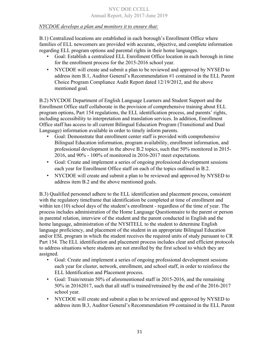### *NYCDOE develops a plan and monitors it to ensure that:*

B.1) Centralized locations are established in each borough's Enrollment Office where families of ELL newcomers are provided with accurate, objective, and complete information regarding ELL program options and parental rights in their home languages.

- Goal: Establish a centralized ELL Enrollment Office location in each borough in time for the enrollment process for the 2015-2016 school year.
- NYCDOE will create and submit a plan to be reviewed and approved by NYSED to address item B.1, Auditor General's Recommendation #1 contained in the ELL Parent Choice Program Compliance Audit Report dated 12/19/2012, and the above mentioned goal.

B.2) NYCDOE Department of English Language Learners and Student Support and the Enrollment Office staff collaborate in the provision of comprehensive training about ELL program options, Part 154 regulations, the ELL identification process, and parents' rights, including accessibility to interpretation and translation services. In addition, Enrollment Office staff has access to all current Bilingual Education Program (Transitional and Dual Language) information available in order to timely inform parents.

- Goal: Demonstrate that enrollment center staff is provided with comprehensive Bilingual Education information, program availability, enrollment information, and professional development in the above B.2 topics, such that 50% monitored in 2015- 2016, and 90% - 100% of monitored in 2016-2017 meet expectations.
- Goal: Create and implement a series of ongoing professional development sessions each year for Enrollment Office staff on each of the topics outlined in B.2.
- NYCDOE will create and submit a plan to be reviewed and approved by NYSED to address item B.2 and the above mentioned goals.

B.3) Qualified personnel adhere to the ELL identification and placement process, consistent with the regulatory timeframe that identification be completed at time of enrollment and within ten (10) school days of the student's enrollment - regardless of the time of year. The process includes administration of the Home Language Questionnaire to the parent or person in parental relation, interview of the student and the parent conducted in English and the home language, administration of the NYSITELL to the student to determine English language proficiency, and placement of the student in an appropriate Bilingual Education and/or ESL program in which the student receives the required units of study pursuant to CR Part 154. The ELL identification and placement process includes clear and efficient protocols to address situations where students are not enrolled by the first school to which they are assigned.

- Goal: Create and implement a series of ongoing professional development sessions each year for cluster, network, enrollment, and school staff, in order to reinforce the ELL Identification and Placement process.
- Goal: Train/retrain 50% of aforementioned staff in 2015-2016, and the remaining 50% in 20162017, such that all staff is trained/retrained by the end of the 2016-2017 school year.
- NYCDOE will create and submit a plan to be reviewed and approved by NYSED to address item B.3, Auditor General's Recommendation #9 contained in the ELL Parent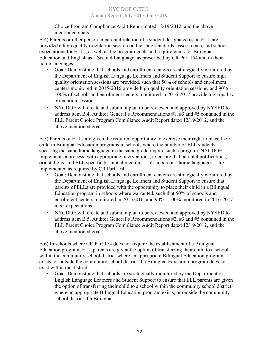Choice Program Compliance Audit Report dated 12/19/2012, and the above mentioned goals.

B.4) Parents or other person in parental relation of a student designated as an ELL are provided a high quality orientation session on the state standards, assessments, and school expectations for ELLs, as well as the program goals and requirements for Bilingual Education and English as a Second Language, as prescribed by CR Part 154 and in their home languages.

- Goal: Demonstrate that schools and enrollment centers are strategically monitored by the Department of English Language Learners and Student Support to ensure high quality orientation sessions are provided, such that 50% of schools and enrollment centers monitored in 2015-2016 provide high quality orientation sessions, and 90% - 100% of schools and enrollment centers monitored in 2016-2017 provide high quality orientation sessions.
- NYCDOE will create and submit a plan to be reviewed and approved by NYSED to address item B.4, Auditor General's Recommendations #1, #3 and #5 contained in the ELL Parent Choice Program Compliance Audit Report dated 12/19/2012, and the above mentioned goal.

B.5) Parents of ELLs are given the required opportunity to exercise their right to place their child in Bilingual Education programs in schools where the number of ELL students speaking the same home language in the same grade require such a program. NYCDOE implements a process, with appropriate interventions, to ensure that parental notifications, orientations, and ELL specific bi-annual meetings – all in parents' home languages – are implemented as required by CR Part 154.

- Goal: Demonstrate that schools and enrollment centers are strategically monitored by the Department of English Language Learners and Student Support to ensure that parents of ELLs are provided with the opportunity to place their child in a Bilingual Education program in schools where warranted, such that 50% of schools and enrollment centers monitored in 20152016, and 90% - 100% monitored in 2016-2017 meet expectations.
- NYCDOE will create and submit a plan to be reviewed and approved by NYSED to address item B.5, Auditor General's Recommendations #2, #3 and #5 contained in the ELL Parent Choice Program Compliance Audit Report dated 12/19/2012, and the above mentioned goal.

B.6) In schools where CR Part 154 does not require the establishment of a Bilingual Education program, ELL parents are given the option of transferring their child to a school within the community school district where an appropriate Bilingual Education program exists, or outside the community school district if a Bilingual Education program does not exist within the district.

• Goal: Demonstrate that schools are strategically monitored by the Department of English Language Learners and Student Support to ensure that ELL parents are given the option of transferring their child to a school within the community school district where an appropriate Bilingual Education program exists, or outside the community school district if a Bilingual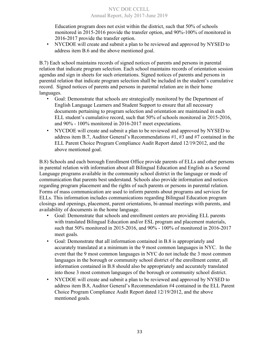Education program does not exist within the district, such that 50% of schools monitored in 2015-2016 provide the transfer option, and 90%-100% of monitored in 2016-2017 provide the transfer option.

• NYCDOE will create and submit a plan to be reviewed and approved by NYSED to address item B.6 and the above mentioned goal.

B.7) Each school maintains records of signed notices of parents and persons in parental relation that indicate program selection. Each school maintains records of orientation session agendas and sign in sheets for such orientations. Signed notices of parents and persons in parental relation that indicate program selection shall be included in the student's cumulative record. Signed notices of parents and persons in parental relation are in their home languages.

- Goal: Demonstrate that schools are strategically monitored by the Department of English Language Learners and Student Support to ensure that all necessary documents pertaining to program selection and orientation are maintained in each ELL student's cumulative record, such that 50% of schools monitored in 2015-2016, and 90% - 100% monitored in 2016-2017 meet expectations.
- NYCDOE will create and submit a plan to be reviewed and approved by NYSED to address item B.7, Auditor General's Recommendations #1, #3 and #7 contained in the ELL Parent Choice Program Compliance Audit Report dated 12/19/2012, and the above mentioned goal.

B.8) Schools and each borough Enrollment Office provide parents of ELLs and other persons in parental relation with information about all Bilingual Education and English as a Second Language programs available in the community school district in the language or mode of communication that parents best understand. Schools also provide information and notices regarding program placement and the rights of such parents or persons in parental relation. Forms of mass communication are used to inform parents about programs and services for ELLs. This information includes communications regarding Bilingual Education program closings and openings, placement, parent orientations, bi-annual meetings with parents, and availability of documents in the home language.

- Goal: Demonstrate that schools and enrollment centers are providing ELL parents with translated Bilingual Education and/or ESL program and placement materials, such that 50% monitored in 2015-2016, and 90% - 100% of monitored in 2016-2017 meet goals.
- Goal: Demonstrate that all information contained in B.8 is appropriately and accurately translated at a minimum in the 9 most common languages in NYC. In the event that the 9 most common languages in NYC do not include the 3 most common languages in the borough or community school district of the enrollment center, all information contained in B.8 should also be appropriately and accurately translated into those 3 most common languages of the borough or community school district.
- NYCDOE will create and submit a plan to be reviewed and approved by NYSED to address item B.8, Auditor General's Recommendation #4 contained in the ELL Parent Choice Program Compliance Audit Report dated 12/19/2012, and the above mentioned goals.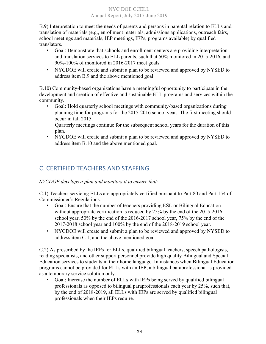B.9) Interpretation to meet the needs of parents and persons in parental relation to ELLs and translation of materials (e.g., enrollment materials, admissions applications, outreach fairs, school meetings and materials, IEP meetings, IEPs, programs available) by qualified translators.

- Goal: Demonstrate that schools and enrollment centers are providing interpretation and translation services to ELL parents, such that 50% monitored in 2015-2016, and 90%-100% of monitored in 2016-2017 meet goals.
- NYCDOE will create and submit a plan to be reviewed and approved by NYSED to address item B.9 and the above mentioned goal.

B.10) Community-based organizations have a meaningful opportunity to participate in the development and creation of effective and sustainable ELL programs and services within the community.

• Goal: Hold quarterly school meetings with community-based organizations during planning time for programs for the 2015-2016 school year. The first meeting should occur in fall 2015.

Quarterly meetings continue for the subsequent school years for the duration of this plan.

• NYCDOE will create and submit a plan to be reviewed and approved by NYSED to address item B.10 and the above mentioned goal.

# C. CERTIFIED TEACHERS AND STAFFING

# *NYCDOE develops a plan and monitors it to ensure that:*

C.1) Teachers servicing ELLs are appropriately certified pursuant to Part 80 and Part 154 of Commissioner's Regulations.

- Goal: Ensure that the number of teachers providing ESL or Bilingual Education without appropriate certification is reduced by 25% by the end of the 2015-2016 school year, 50% by the end of the 2016-2017 school year, 75% by the end of the 2017-2018 school year and 100% by the end of the 2018-2019 school year.
- NYCDOE will create and submit a plan to be reviewed and approved by NYSED to address item C.1, and the above mentioned goal.

C.2) As prescribed by the IEPs for ELLs, qualified bilingual teachers, speech pathologists, reading specialists, and other support personnel provide high quality Bilingual and Special Education services to students in their home language. In instances when Bilingual Education programs cannot be provided for ELLs with an IEP, a bilingual paraprofessional is provided as a temporary service solution only.

• Goal: Increase the number of ELLs with IEPs being served by qualified bilingual professionals as opposed to bilingual paraprofessionals each year by 25%, such that, by the end of 2018-2019, all ELLs with IEPs are served by qualified bilingual professionals when their IEPs require.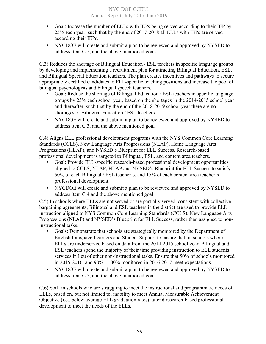- Goal: Increase the number of ELLs with IEPs being served according to their IEP by 25% each year, such that by the end of 2017-2018 all ELLs with IEPs are served according their IEPs.
- NYCDOE will create and submit a plan to be reviewed and approved by NYSED to address item C.2, and the above mentioned goals.

C.3) Reduces the shortage of Bilingual Education / ESL teachers in specific language groups by developing and implementing a recruitment plan for attracting Bilingual Education, ESL, and Bilingual Special Education teachers. The plan creates incentives and pathways to secure appropriately certified candidates to ELL-specific teaching positions and increase the pool of bilingual psychologists and bilingual speech teachers.

- Goal: Reduce the shortage of Bilingual Education / ESL teachers in specific language groups by 25% each school year, based on the shortages in the 2014-2015 school year and thereafter, such that by the end of the 2018-2019 school year there are no shortages of Bilingual Education / ESL teachers.
- NYCDOE will create and submit a plan to be reviewed and approved by NYSED to address item C.3, and the above mentioned goal.

C.4) Aligns ELL professional development programs with the NYS Common Core Learning Standards (CCLS), New Language Arts Progressions (NLAP), Home Language Arts Progressions (HLAP), and NYSED's Blueprint for ELL Success. Research-based professional development is targeted to Bilingual, ESL, and content area teachers.

- Goal: Provide ELL-specific research-based professional development opportunities aligned to CCLS, NLAP, HLAP and NYSED's Blueprint for ELL Success to satisfy 50% of each Bilingual / ESL teacher's, and 15% of each content area teacher's professional development.
- NYCDOE will create and submit a plan to be reviewed and approved by NYSED to address item C.4 and the above mentioned goal.

C.5) In schools where ELLs are not served or are partially served, consistent with collective bargaining agreements, Bilingual and ESL teachers in the district are used to provide ELL instruction aligned to NYS Common Core Learning Standards (CCLS), New Language Arts Progressions (NLAP) and NYSED's Blueprint for ELL Success, rather than assigned to noninstructional tasks.

- Goals: Demonstrate that schools are strategically monitored by the Department of English Language Learners and Student Support to ensure that, in schools where ELLs are underserved based on data from the 2014-2015 school year, Bilingual and ESL teachers spend the majority of their time providing instruction to ELL students' services in lieu of other non-instructional tasks. Ensure that 50% of schools monitored in 2015-2016, and 90% - 100% monitored in 2016-2017 meet expectations.
- NYCDOE will create and submit a plan to be reviewed and approved by NYSED to address item C.5, and the above mentioned goal.

C.6) Staff in schools who are struggling to meet the instructional and programmatic needs of ELLs, based on, but not limited to, inability to meet Annual Measurable Achievement Objective (i.e., below average ELL graduation rates), attend research-based professional development to meet the needs of the ELLs.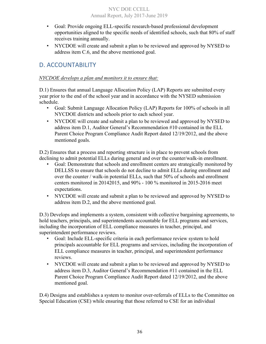- Goal: Provide ongoing ELL-specific research-based professional development opportunities aligned to the specific needs of identified schools, such that 80% of staff receives training annually.
- NYCDOE will create and submit a plan to be reviewed and approved by NYSED to address item C.6, and the above mentioned goal.

# D. ACCOUNTABILITY

### *NYCDOE develops a plan and monitors it to ensure that:*

D.1) Ensures that annual Language Allocation Policy (LAP) Reports are submitted every year prior to the end of the school year and in accordance with the NYSED submission schedule.

- Goal: Submit Language Allocation Policy (LAP) Reports for 100% of schools in all NYCDOE districts and schools prior to each school year.
- NYCDOE will create and submit a plan to be reviewed and approved by NYSED to address item D.1, Auditor General's Recommendation #10 contained in the ELL Parent Choice Program Compliance Audit Report dated 12/19/2012, and the above mentioned goals.

D.2) Ensures that a process and reporting structure is in place to prevent schools from declining to admit potential ELLs during general and over the counter/walk-in enrollment.

- Goal: Demonstrate that schools and enrollment centers are strategically monitored by DELLSS to ensure that schools do not decline to admit ELLs during enrollment and over the counter / walk-in potential ELLs, such that 50% of schools and enrollment centers monitored in 20142015, and 90% - 100 % monitored in 2015-2016 meet expectations.
- NYCDOE will create and submit a plan to be reviewed and approved by NYSED to address item D.2, and the above mentioned goal.

D.3) Develops and implements a system, consistent with collective bargaining agreements, to hold teachers, principals, and superintendents accountable for ELL programs and services, including the incorporation of ELL compliance measures in teacher, principal, and superintendent performance reviews.

- Goal: Include ELL-specific criteria in each performance review system to hold principals accountable for ELL programs and services, including the incorporation of ELL compliance measures in teacher, principal, and superintendent performance reviews.
- NYCDOE will create and submit a plan to be reviewed and approved by NYSED to address item D.3, Auditor General's Recommendation #11 contained in the ELL Parent Choice Program Compliance Audit Report dated 12/19/2012, and the above mentioned goal.

D.4) Designs and establishes a system to monitor over-referrals of ELLs to the Committee on Special Education (CSE) while ensuring that those referred to CSE for an individual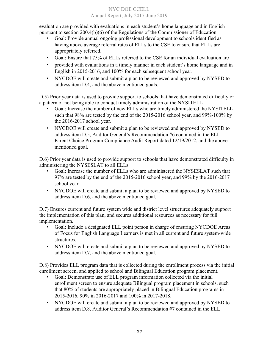evaluation are provided with evaluations in each student's home language and in English pursuant to section 200.4(b)(6) of the Regulations of the Commissioner of Education.

- Goal: Provide annual ongoing professional development to schools identified as having above average referral rates of ELLs to the CSE to ensure that ELLs are appropriately referred.
- Goal: Ensure that 75% of ELLs referred to the CSE for an individual evaluation are
- provided with evaluations in a timely manner in each student's home language and in English in 2015-2016, and 100% for each subsequent school year.
- NYCDOE will create and submit a plan to be reviewed and approved by NYSED to address item D.4, and the above mentioned goals.

D.5) Prior year data is used to provide support to schools that have demonstrated difficulty or a pattern of not being able to conduct timely administration of the NYSITELL.

- Goal: Increase the number of new ELLs who are timely administered the NYSITELL such that 98% are tested by the end of the 2015-2016 school year, and 99%-100% by the 2016-2017 school year.
- NYCDOE will create and submit a plan to be reviewed and approved by NYSED to address item D.5, Auditor General's Recommendation #6 contained in the ELL Parent Choice Program Compliance Audit Report dated 12/19/2012, and the above mentioned goal.

D.6) Prior year data is used to provide support to schools that have demonstrated difficulty in administering the NYSESLAT to all ELLs.

- Goal: Increase the number of ELLs who are administered the NYSESLAT such that 97% are tested by the end of the 2015-2016 school year, and 99% by the 2016-2017 school year.
- NYCDOE will create and submit a plan to be reviewed and approved by NYSED to address item D.6, and the above mentioned goal.

D.7) Ensures current and future system wide and district level structures adequately support the implementation of this plan, and secures additional resources as necessary for full implementation.

- Goal: Include a designated ELL point person in charge of ensuring NYCDOE Areas of Focus for English Language Learners is met in all current and future system-wide structures.
- NYCDOE will create and submit a plan to be reviewed and approved by NYSED to address item D.7, and the above mentioned goal.

D.8) Provides ELL program data that is collected during the enrollment process via the initial enrollment screen, and applied to school and Bilingual Education program placement.

- Goal: Demonstrate use of ELL program information collected via the initial enrollment screen to ensure adequate Bilingual program placement in schools, such that 80% of students are appropriately placed in Bilingual Education programs in 2015-2016, 90% in 2016-2017 and 100% in 2017-2018.
- NYCDOE will create and submit a plan to be reviewed and approved by NYSED to address item D.8, Auditor General's Recommendation #7 contained in the ELL